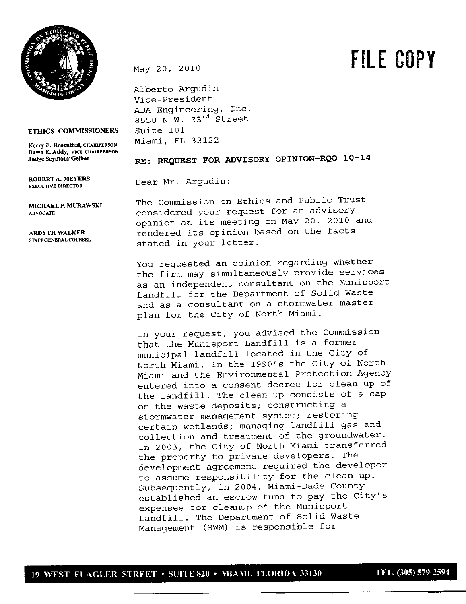

May 20, <sup>2010</sup> **FILE COPY**

**ETHICS COMMISSIONERS** 

**Dawn E. Addy, VICE CHAIRPERSON**

**ROBERT A. MEYERS**

**STAFF GENERAL COUNSEL**

Alberto Argudin Vice-president ADA Engineering, Inc. 8550 N.W. **33rd** Street Suite 101 **Kerry E. Rosenthal, CHAIRPERSON** Miami, FL 33 122

## **JudgeSeymourGelber RE: REQUEST FOR ADVISORY OpINION-RQO 10-14**

**EXECUTIVE DIRECTOR** Dear Mr. Argudin:

**MICRAELP.MURAWSKJ** The Commission on Ethics and Public Trust **ADVOCATE** considered your request for an advisory opinion at its meeting on May 20, 2010 and ARDYTH WALKER **rendered its opinion based on the facts** stated in your letter.

> You requested an opinion regarding whether the firm may simultaneously provide services as an independent consultant on the Munisport Landfill for the Department of Solid Waste and as a consultant on a stormwater master plan for the City of North Miami.

> In your request, you advised the Commission that the Munisport Landfill is a former municipal landfill located in the City of North Miami. In the 1990's the City of North Miami and the Environmental Protection Agency entered into a consent decree for clean-up of the landfill. The clean-up consists of a cap on the waste deposits; constructing a stormwater management system; restoring certain wetlands; managing landfill gas and collection and treatment of the groundwater. In 2003, the City of North Miami transferred the property to private developers. The development agreement required the developer to assume responsibility for the clean-up. Subsequently, in 2004, Miami-Dade County established an escrow fund to pay the City's expenses for cleanup of the Munisport Landfill. The Department of Solid Waste Management (SWM) is responsible for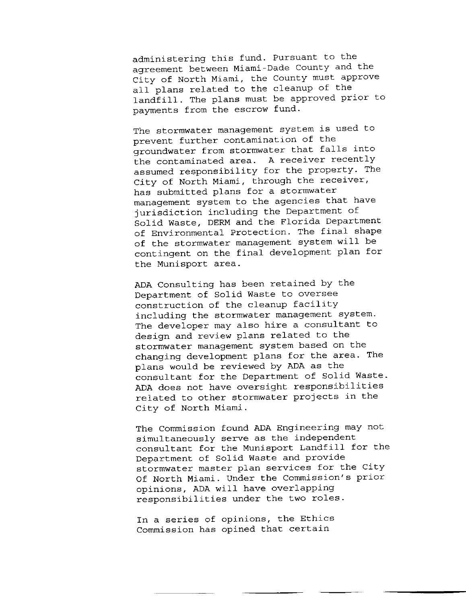administering this fund. Pursuant to the agreement between Miami-Dade County and the City of North Miami, the County must approve all plans related to the cleanup of the landfill. The plans must be approved prior to payments from the escrow fund.

The stormwater management system is used to prevent further contamination of the groundwater from stormwater that falls into the contaminated area. <sup>A</sup> receiver recently assumed responsibility for the property. The City of North Miami, through the receiver, has submitted plans for a stormwater management system to the agencies that have jurisdiction including the Department of Solid Waste, DERM and the Florida Department of Environmental Protection. The final shape of the stormwater management system will be contingent on the final development plan for the Munisport area.

ADA Consulting has been retained by the Department of Solid Waste to oversee construction of the cleanup facility including the stormwater management system. The developer may also hire a consultant to design and review plans related to the stormwater management system based on the changing development plans for the area. The plans would be reviewed by ADA as the consultant for the Department of Solid Waste. ADA does not have oversight responsibilities related to other stormwater projects in the City of North Miami.

The Commission found ADA Engineering may not simultaneously serve as the independent consultant for the Munisport Landfill for the Department of Solid Waste and provide stormwater master plan services for the City Of North Miami. Under the Commission's prior opinions, ADA will have overlapping responsibilities under the two roles.

In a series of opinions, the Ethics Commission has opined that certain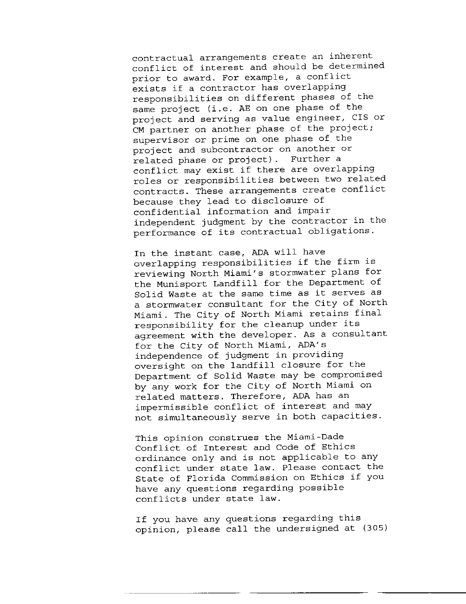contractual arrangements create an inherent conflict of interest and should be determined prior to award. For example, a conflict exists if a contractor has overlapping responsibilities on different phases of the same project (i.e. AE on one phase of the project and serving as value engineer, CIS or CM partner on another phase of the project; supervisor or prime on one phase of the project and subcontractor on another or related phase or project). Further a conflict may exist if there are overlapping roles or responsibilities between two related contracts. These arrangements create conflict because they lead to disclosure of confidential information and impair independent judgment by the contractor in the performance of its contractual obligations.

In the instant case, ADA will have overlapping responsibilities if the firm is reviewing North Miami's stormwater plans for the Munisport Landfill for the Department of Solid Waste at the same time as it serves as a stormwater consultant for the City of North Miami. The City of North Miami retains final responsibility for the cleanup under its agreement with the developer. As a consultant for the City of North Miami, ADA's independence of judgment in providing oversight on the landfill closure for the Department of Solid Waste may be compromised by any work for the City of North Miami on related matters. Therefore, ADA has an impermissible conflict of interest and may not simultaneously serve in both capacities.

This opinion construes the Miami-Dade Conflict of Interest and Code of Ethics ordinance only and is not applicable to any conflict under state law. Please contact the State of Florida Commission on Ethics if you have any questions regarding possible conflicts under state law.

If you have any questions regarding this opinion, please call the undersigned at (305)